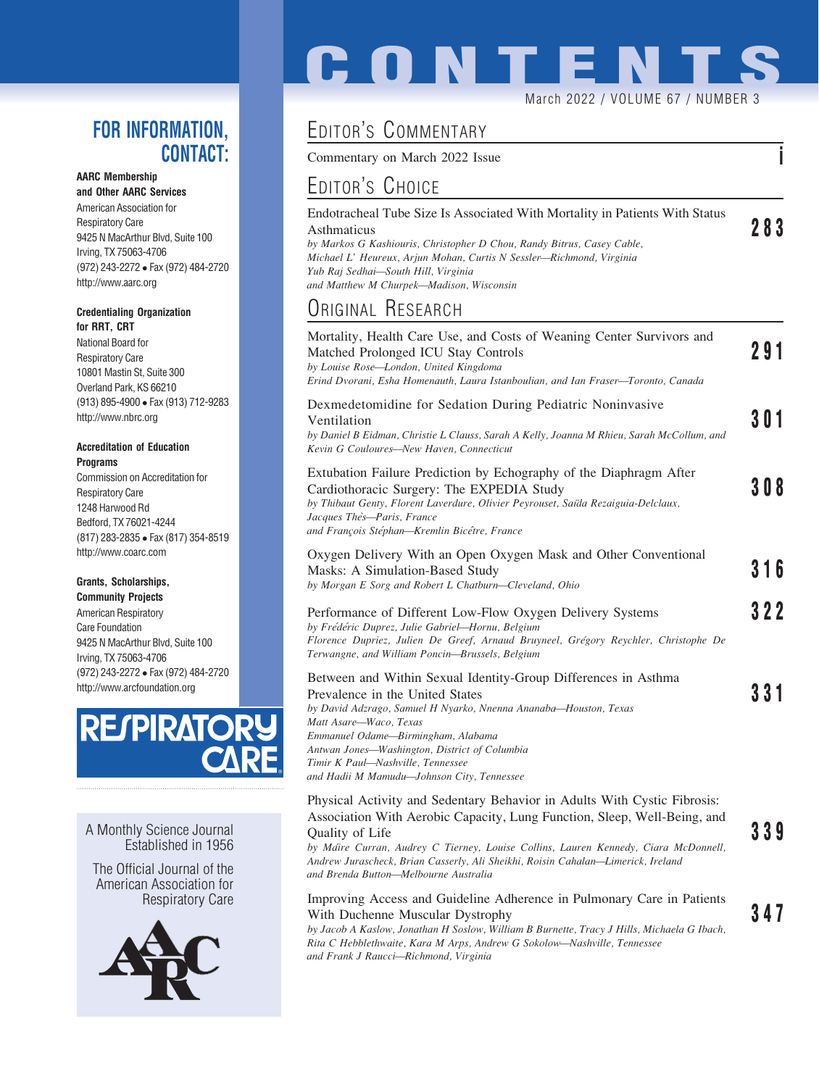### FOR INFORMATION, CONTACT:

#### AARC Membership

and Other AARC Services American Association for Respiratory Care 9425 N MacArthur Blvd, Suite 100 Irving, TX 75063-4706 (972) 243-2272 Fax (972) 484-2720 http://www.aarc.org

#### Credentialing Organization for RRT, CRT

National Board for Respiratory Care 10801 Mastin St, Suite 300 Overland Park, KS 66210 (913) 895-4900 Fax (913) 712-9283 http://www.nbrc.org

#### Accreditation of Education **Programs**

Commission on Accreditation for Respiratory Care 1248 Harwood Rd Bedford, TX 76021-4244 (817) 283-2835 Fax (817) 354-8519 http://www.coarc.com

### Grants, Scholarships,

Community Projects American Respiratory Care Foundation 9425 N MacArthur Blvd, Suite 100 Irving, TX 75063-4706 (972) 243-2272 Fax (972) 484-2720 http://www.arcfoundation.org



A Monthly Science Journal Established in 1956

The Official Journal of the American Association for Respiratory Care



# **CONTENTS** March 2022 / VOLUME 67 / NUMBER 3

## EDITOR'S COMMENTARY

Commentary on March 2022 Issue

## EDITOR'S CHOICE

| Endotracheal Tube Size Is Associated With Mortality in Patients With Status |     |
|-----------------------------------------------------------------------------|-----|
| Asthmaticus                                                                 | 283 |
| by Markos G Kashiouris, Christopher D Chou, Randy Bitrus, Casey Cable,      |     |
| Michael L' Heureux, Arjun Mohan, Curtis N Sessler—Richmond, Virginia        |     |
| Yub Raj Sedhai-South Hill, Virginia                                         |     |
| and Matthew M Churpek—Madison, Wisconsin                                    |     |

## ORIGINAL RESEARCH

| Mortality, Health Care Use, and Costs of Weaning Center Survivors and<br>Matched Prolonged ICU Stay Controls<br>by Louise Rose-London, United Kingdoma<br>Erind Dvorani, Esha Homenauth, Laura Istanboulian, and Ian Fraser-Toronto, Canada                                                                                                                               | 291   |
|---------------------------------------------------------------------------------------------------------------------------------------------------------------------------------------------------------------------------------------------------------------------------------------------------------------------------------------------------------------------------|-------|
| Dexmedetomidine for Sedation During Pediatric Noninvasive<br>Ventilation<br>by Daniel B Eidman, Christie L Clauss, Sarah A Kelly, Joanna M Rhieu, Sarah McCollum, and<br>Kevin G Couloures-New Haven, Connecticut                                                                                                                                                         | 3 O 1 |
| Extubation Failure Prediction by Echography of the Diaphragm After<br>Cardiothoracic Surgery: The EXPEDIA Study<br>by Thibaut Genty, Florent Laverdure, Olivier Peyrouset, Saïda Rezaiguia-Delclaux,<br>Jacques Thès-Paris, France<br>and François Stéphan-Kremlin Bicêtre, France                                                                                        | 308   |
| Oxygen Delivery With an Open Oxygen Mask and Other Conventional<br>Masks: A Simulation-Based Study<br>by Morgan E Sorg and Robert L Chatburn-Cleveland, Ohio                                                                                                                                                                                                              | 316   |
| Performance of Different Low-Flow Oxygen Delivery Systems<br>by Frédéric Duprez, Julie Gabriel-Hornu, Belgium<br>Florence Dupriez, Julien De Greef, Arnaud Bruyneel, Grégory Reychler, Christophe De<br>Terwangne, and William Poncin-Brussels, Belgium                                                                                                                   | 322   |
| Between and Within Sexual Identity-Group Differences in Asthma<br>Prevalence in the United States<br>by David Adzrago, Samuel H Nyarko, Nnenna Ananaba-Houston, Texas<br>Matt Asare-Waco, Texas<br>Emmanuel Odame-Birmingham, Alabama<br>Antwan Jones-Washington, District of Columbia<br>Timir K Paul-Nashville, Tennessee<br>and Hadii M Mamudu-Johnson City, Tennessee | 331   |
| Physical Activity and Sedentary Behavior in Adults With Cystic Fibrosis:<br>Association With Aerobic Capacity, Lung Function, Sleep, Well-Being, and<br>Quality of Life                                                                                                                                                                                                   | 339   |

Quality of Life **339**<br>by Ma´ire Curran, Audrey C Tierney, Louise Collins, Lauren Kennedy, Ciara McDonnell, Andrew Jurascheck, Brian Casserly, Ali Sheikhi, Roisin Cahalan—Limerick, Ireland and Brenda Button—Melbourne Australia

#### Improving Access and Guideline Adherence in Pulmonary Care in Patients With Duchenne Muscular Dystrophy 347

by Jacob A Kaslow, Jonathan H Soslow, William B Burnette, Tracy J Hills, Michaela G Ibach, Rita C Hebblethwaite, Kara M Arps, Andrew G Sokolow—Nashville, Tennessee and Frank J Raucci—Richmond, Virginia